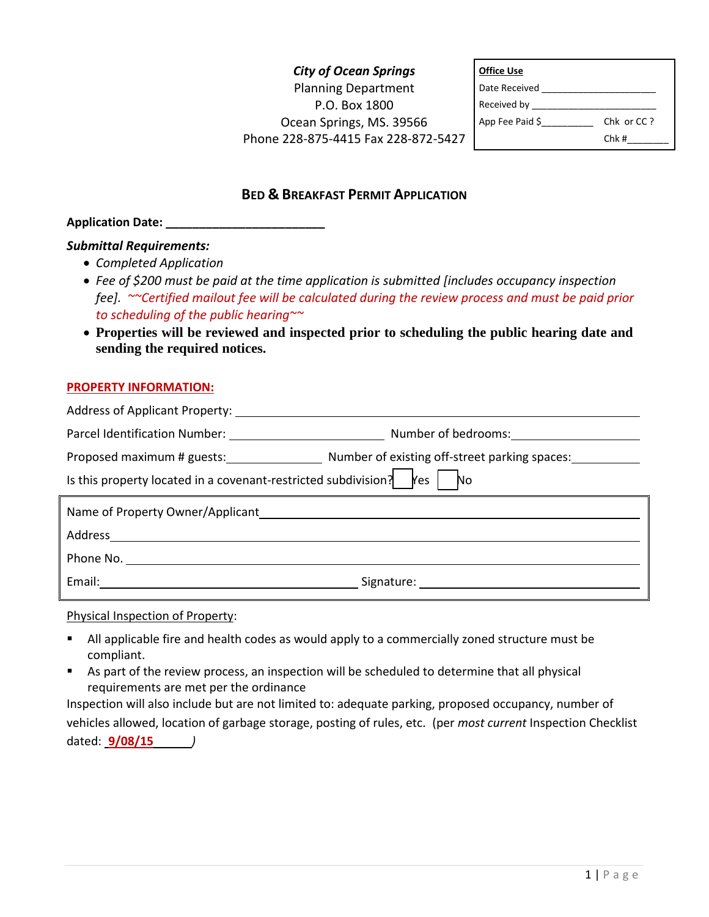# *City of Ocean Springs* Planning Department P.O. Box 1800 Ocean Springs, MS. 39566 Phone 228-875-4415 Fax 228-872-5427

| <b>Office Use</b> |            |
|-------------------|------------|
| Date Received     |            |
| Received by ____  |            |
| App Fee Paid \$   | Chk or CC? |
|                   | Chk#       |

## **BED & BREAKFAST PERMIT APPLICATION**

## **Application Date: \_\_\_\_\_\_\_\_\_\_\_\_\_\_\_\_\_\_\_\_\_\_\_\_**

### *Submittal Requirements:*

- *Completed Application*
- *Fee of \$200 must be paid at the time application is submitted [includes occupancy inspection fee]. ~~Certified mailout fee will be calculated during the review process and must be paid prior to scheduling of the public hearing~~*
- **Properties will be reviewed and inspected prior to scheduling the public hearing date and sending the required notices.**

#### **PROPERTY INFORMATION:**

| Address of Applicant Property:                                                 |                                                                          |
|--------------------------------------------------------------------------------|--------------------------------------------------------------------------|
| Parcel Identification Number: 2008 2014 2022 2023                              | Number of bedrooms: 1997 Mumber of bedrooms:                             |
|                                                                                | Proposed maximum # guests: Number of existing off-street parking spaces: |
| Is this property located in a covenant-restricted subdivision? $\mathbb{R}$ es | No.                                                                      |
|                                                                                |                                                                          |
| Name of Property Owner/Applicant                                               |                                                                          |
| Address                                                                        |                                                                          |
|                                                                                |                                                                          |

#### Physical Inspection of Property:

- All applicable fire and health codes as would apply to a commercially zoned structure must be compliant.
- As part of the review process, an inspection will be scheduled to determine that all physical requirements are met per the ordinance

Inspection will also include but are not limited to: adequate parking, proposed occupancy, number of vehicles allowed, location of garbage storage, posting of rules, etc. (per *most current* Inspection Checklist dated: **9/08/15** *)*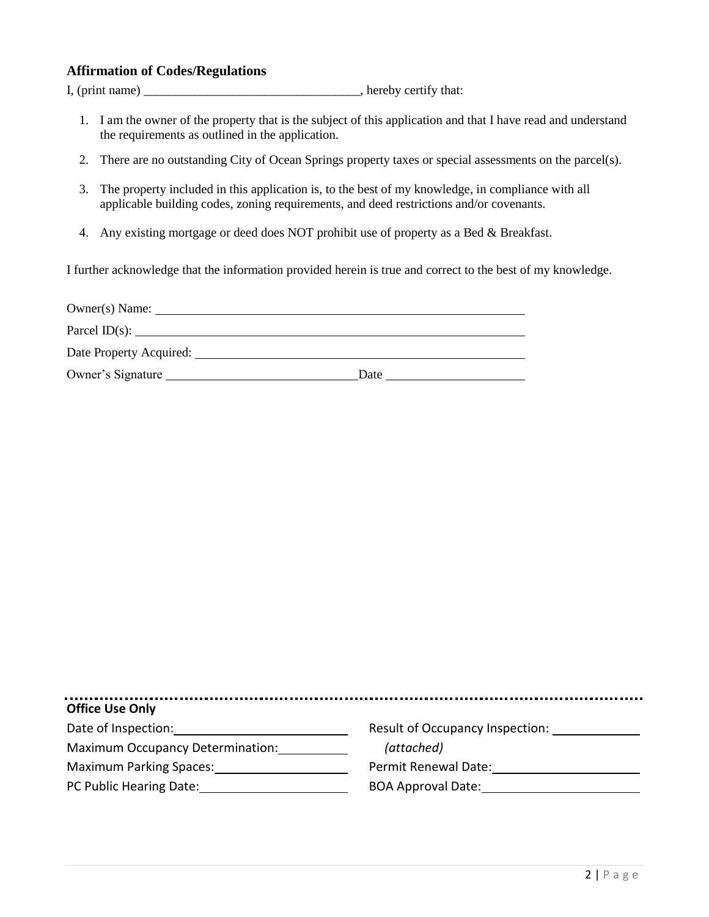## **Affirmation of Codes/Regulations**

I, (print name) hereby certify that:

- 1. I am the owner of the property that is the subject of this application and that I have read and understand the requirements as outlined in the application.
- 2. There are no outstanding City of Ocean Springs property taxes or special assessments on the parcel(s).
- 3. The property included in this application is, to the best of my knowledge, in compliance with all applicable building codes, zoning requirements, and deed restrictions and/or covenants.
- 4. Any existing mortgage or deed does NOT prohibit use of property as a Bed & Breakfast.

I further acknowledge that the information provided herein is true and correct to the best of my knowledge.

| Owner(s) Name:          |      |
|-------------------------|------|
| Parcel $ID(s)$ :        |      |
| Date Property Acquired: |      |
| Owner's Signature       | Date |

| <b>Office Use Only</b>           |                                 |
|----------------------------------|---------------------------------|
| Date of Inspection:              | Result of Occupancy Inspection: |
| Maximum Occupancy Determination: | (attached)                      |
| <b>Maximum Parking Spaces:</b>   | Permit Renewal Date:            |
| PC Public Hearing Date:          | <b>BOA Approval Date:</b>       |